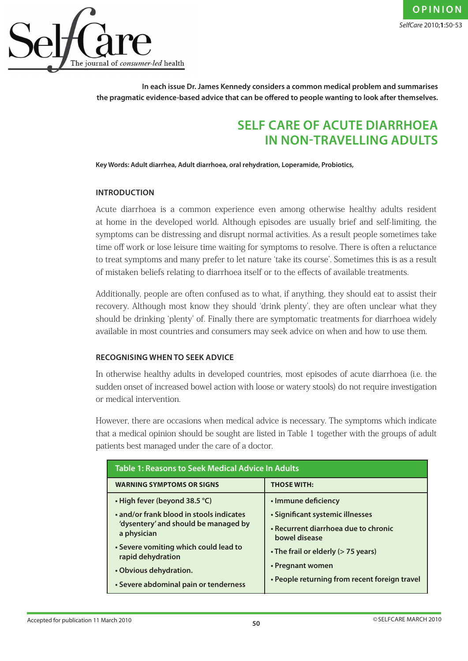

**In each issue Dr. James Kennedy considers a common medical problem and summarises the pragmatic evidence-based advice that can be offered to people wanting to look after themselves.**

# **SELF CARE OF ACUTE DIARRHOEA IN NON-TRAVELLING ADULTS**

**Key Words: Adult diarrhea, Adult diarrhoea, oral rehydration, Loperamide, Probiotics,** 

#### **INTRODUCTION**

Acute diarrhoea is a common experience even among otherwise healthy adults resident at home in the developed world. Although episodes are usually brief and self-limiting, the symptoms can be distressing and disrupt normal activities. As a result people sometimes take time off work or lose leisure time waiting for symptoms to resolve. There is often a reluctance to treat symptoms and many prefer to let nature 'take its course'. Sometimes this is as a result of mistaken beliefs relating to diarrhoea itself or to the effects of available treatments.

Additionally, people are often confused as to what, if anything, they should eat to assist their recovery. Although most know they should 'drink plenty', they are often unclear what they should be drinking 'plenty' of. Finally there are symptomatic treatments for diarrhoea widely available in most countries and consumers may seek advice on when and how to use them.

## **RECOGNISING WHEN TO SEEK ADVICE**

In otherwise healthy adults in developed countries, most episodes of acute diarrhoea (i.e. the sudden onset of increased bowel action with loose or watery stools) do not require investigation or medical intervention.

However, there are occasions when medical advice is necessary. The symptoms which indicate that a medical opinion should be sought are listed in Table 1 together with the groups of adult patients best managed under the care of a doctor.

| <b>Table 1: Reasons to Seek Medical Advice In Adults</b>   |                                                       |
|------------------------------------------------------------|-------------------------------------------------------|
| <b>WARNING SYMPTOMS OR SIGNS</b>                           | <b>THOSE WITH:</b>                                    |
| • High fever (beyond 38.5 °C)                              | • Immune deficiency                                   |
| • and/or frank blood in stools indicates                   | • Significant systemic illnesses                      |
| 'dysentery' and should be managed by<br>a physician        | • Recurrent diarrhoea due to chronic<br>bowel disease |
| • Severe vomiting which could lead to<br>rapid dehydration | • The frail or elderly (> 75 years)                   |
| • Obvious dehydration.                                     | • Pregnant women                                      |
| • Severe abdominal pain or tenderness                      | • People returning from recent foreign travel         |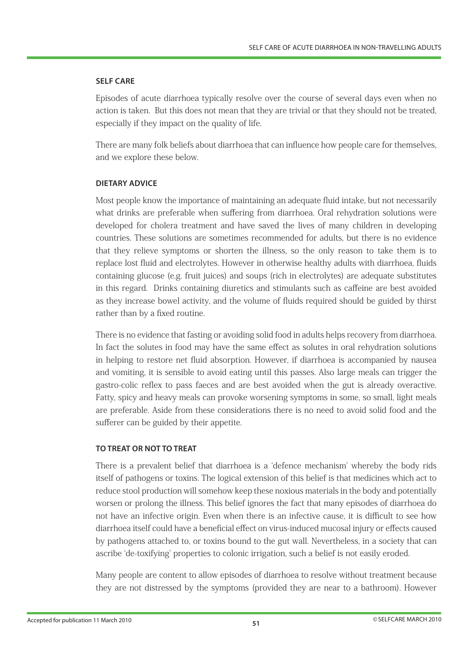## **SELF CARE**

Episodes of acute diarrhoea typically resolve over the course of several days even when no action is taken. But this does not mean that they are trivial or that they should not be treated, especially if they impact on the quality of life.

There are many folk beliefs about diarrhoea that can influence how people care for themselves, and we explore these below.

## **DIETARY ADVICE**

Most people know the importance of maintaining an adequate fluid intake, but not necessarily what drinks are preferable when suffering from diarrhoea. Oral rehydration solutions were developed for cholera treatment and have saved the lives of many children in developing countries. These solutions are sometimes recommended for adults, but there is no evidence that they relieve symptoms or shorten the illness, so the only reason to take them is to replace lost fluid and electrolytes. However in otherwise healthy adults with diarrhoea, fluids containing glucose (e.g. fruit juices) and soups (rich in electrolytes) are adequate substitutes in this regard. Drinks containing diuretics and stimulants such as caffeine are best avoided as they increase bowel activity, and the volume of fluids required should be guided by thirst rather than by a fixed routine.

There is no evidence that fasting or avoiding solid food in adults helps recovery from diarrhoea. In fact the solutes in food may have the same effect as solutes in oral rehydration solutions in helping to restore net fluid absorption. However, if diarrhoea is accompanied by nausea and vomiting, it is sensible to avoid eating until this passes. Also large meals can trigger the gastro-colic reflex to pass faeces and are best avoided when the gut is already overactive. Fatty, spicy and heavy meals can provoke worsening symptoms in some, so small, light meals are preferable. Aside from these considerations there is no need to avoid solid food and the sufferer can be guided by their appetite.

# **TO TREAT OR NOT TO TREAT**

There is a prevalent belief that diarrhoea is a 'defence mechanism' whereby the body rids itself of pathogens or toxins. The logical extension of this belief is that medicines which act to reduce stool production will somehow keep these noxious materials in the body and potentially worsen or prolong the illness. This belief ignores the fact that many episodes of diarrhoea do not have an infective origin. Even when there is an infective cause, it is difficult to see how diarrhoea itself could have a beneficial effect on virus-induced mucosal injury or effects caused by pathogens attached to, or toxins bound to the gut wall. Nevertheless, in a society that can ascribe 'de-toxifying' properties to colonic irrigation, such a belief is not easily eroded.

Many people are content to allow episodes of diarrhoea to resolve without treatment because they are not distressed by the symptoms (provided they are near to a bathroom). However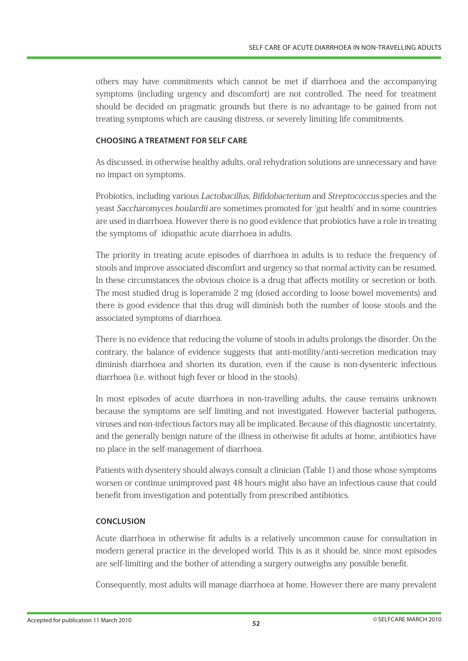others may have commitments which cannot be met if diarrhoea and the accompanying symptoms (including urgency and discomfort) are not controlled. The need for treatment should be decided on pragmatic grounds but there is no advantage to be gained from not treating symptoms which are causing distress, or severely limiting life commitments.

### **CHOOSING A TREATMENT FOR SELF CARE**

As discussed, in otherwise healthy adults, oral rehydration solutions are unnecessary and have no impact on symptoms.

Probiotics, including various Lactobacillus, Bifidobacterium and Streptococcus species and the yeast Saccharomyces boulardii are sometimes promoted for 'gut health' and in some countries are used in diarrhoea. However there is no good evidence that probiotics have a role in treating the symptoms of idiopathic acute diarrhoea in adults.

The priority in treating acute episodes of diarrhoea in adults is to reduce the frequency of stools and improve associated discomfort and urgency so that normal activity can be resumed. In these circumstances the obvious choice is a drug that affects motility or secretion or both. The most studied drug is loperamide 2 mg (dosed according to loose bowel movements) and there is good evidence that this drug will diminish both the number of loose stools and the associated symptoms of diarrhoea.

There is no evidence that reducing the volume of stools in adults prolongs the disorder. On the contrary, the balance of evidence suggests that anti-motility/anti-secretion medication may diminish diarrhoea and shorten its duration, even if the cause is non-dysenteric infectious diarrhoea (i.e. without high fever or blood in the stools).

In most episodes of acute diarrhoea in non-travelling adults, the cause remains unknown because the symptoms are self limiting and not investigated. However bacterial pathogens, viruses and non-infectious factors may all be implicated. Because of this diagnostic uncertainty, and the generally benign nature of the illness in otherwise fit adults at home, antibiotics have no place in the self-management of diarrhoea.

Patients with dysentery should always consult a clinician (Table 1) and those whose symptoms worsen or continue unimproved past 48 hours might also have an infectious cause that could benefit from investigation and potentially from prescribed antibiotics.

## **CONCLUSION**

Acute diarrhoea in otherwise fit adults is a relatively uncommon cause for consultation in modern general practice in the developed world. This is as it should be, since most episodes are self-limiting and the bother of attending a surgery outweighs any possible benefit.

Consequently, most adults will manage diarrhoea at home. However there are many prevalent